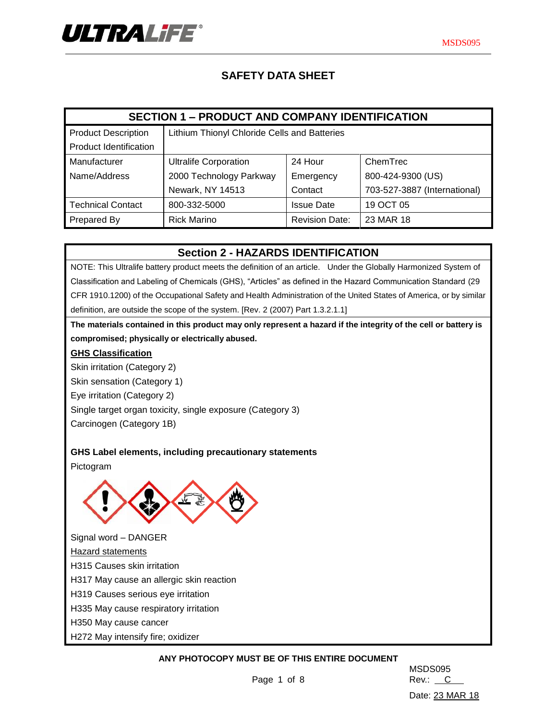

# **SAFETY DATA SHEET**

| <b>SECTION 1 - PRODUCT AND COMPANY IDENTIFICATION</b> |                                              |                       |                              |  |  |  |
|-------------------------------------------------------|----------------------------------------------|-----------------------|------------------------------|--|--|--|
| <b>Product Description</b>                            | Lithium Thionyl Chloride Cells and Batteries |                       |                              |  |  |  |
| <b>Product Identification</b>                         |                                              |                       |                              |  |  |  |
| Manufacturer                                          | <b>Ultralife Corporation</b>                 | 24 Hour               | ChemTrec                     |  |  |  |
| Name/Address                                          | 2000 Technology Parkway                      | Emergency             | 800-424-9300 (US)            |  |  |  |
|                                                       | Newark, NY 14513                             | Contact               | 703-527-3887 (International) |  |  |  |
| Technical Contact                                     | 800-332-5000                                 | <b>Issue Date</b>     | 19 OCT 05                    |  |  |  |
| <b>Prepared By</b>                                    | <b>Rick Marino</b>                           | <b>Revision Date:</b> | 23 MAR 18                    |  |  |  |

## **Section 2 - HAZARDS IDENTIFICATION**

NOTE: This Ultralife battery product meets the definition of an article. Under the Globally Harmonized System of Classification and Labeling of Chemicals (GHS), "Articles" as defined in the Hazard Communication Standard (29 CFR 1910.1200) of the Occupational Safety and Health Administration of the United States of America, or by similar definition, are outside the scope of the system. [Rev. 2 (2007) Part 1.3.2.1.1]

**The materials contained in this product may only represent a hazard if the integrity of the cell or battery is compromised; physically or electrically abused.**

### **GHS Classification**

Skin irritation (Category 2)

Skin sensation (Category 1)

Eye irritation (Category 2)

Single target organ toxicity, single exposure (Category 3)

Carcinogen (Category 1B)

## **GHS Label elements, including precautionary statements**

Pictogram



Signal word – DANGER Hazard statements H315 Causes skin irritation H317 May cause an allergic skin reaction H319 Causes serious eye irritation H335 May cause respiratory irritation H350 May cause cancer

H272 May intensify fire; oxidizer

## **ANY PHOTOCOPY MUST BE OF THIS ENTIRE DOCUMENT**

MSDS095 Date: 23 MAR 18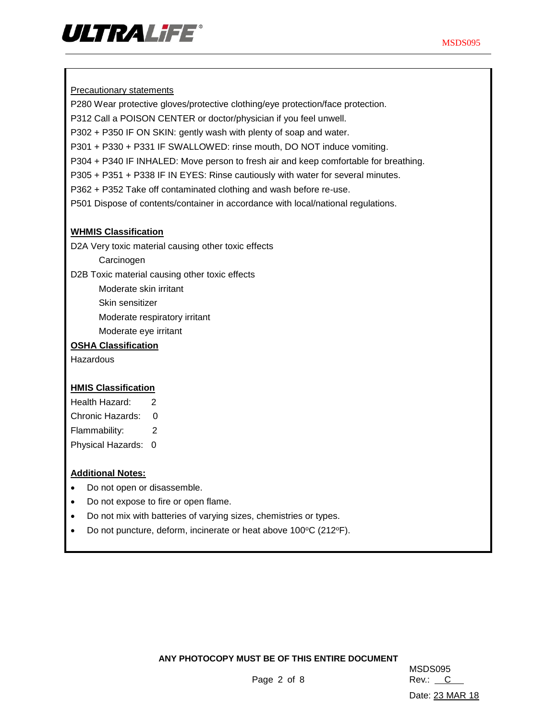

**Precautionary statements** 

P280 Wear protective gloves/protective clothing/eye protection/face protection.

P312 Call a POISON CENTER or doctor/physician if you feel unwell.

P302 + P350 IF ON SKIN: gently wash with plenty of soap and water.

P301 + P330 + P331 IF SWALLOWED: rinse mouth, DO NOT induce vomiting.

P304 + P340 IF INHALED: Move person to fresh air and keep comfortable for breathing.

P305 + P351 + P338 IF IN EYES: Rinse cautiously with water for several minutes.

P362 + P352 Take off contaminated clothing and wash before re-use.

P501 Dispose of contents/container in accordance with local/national regulations.

## **WHMIS Classification**

D2A Very toxic material causing other toxic effects

**Carcinogen** 

D2B Toxic material causing other toxic effects

Moderate skin irritant

Skin sensitizer

Moderate respiratory irritant

Moderate eye irritant

### **OSHA Classification**

Hazardous

## **HMIS Classification**

Health Hazard: 2 Chronic Hazards: 0 Flammability: 2

Physical Hazards: 0

## **Additional Notes:**

- Do not open or disassemble.
- Do not expose to fire or open flame.
- Do not mix with batteries of varying sizes, chemistries or types.
- Do not puncture, deform, incinerate or heat above 100°C (212°F).

#### **ANY PHOTOCOPY MUST BE OF THIS ENTIRE DOCUMENT**

MSDS095 Date: 23 MAR 18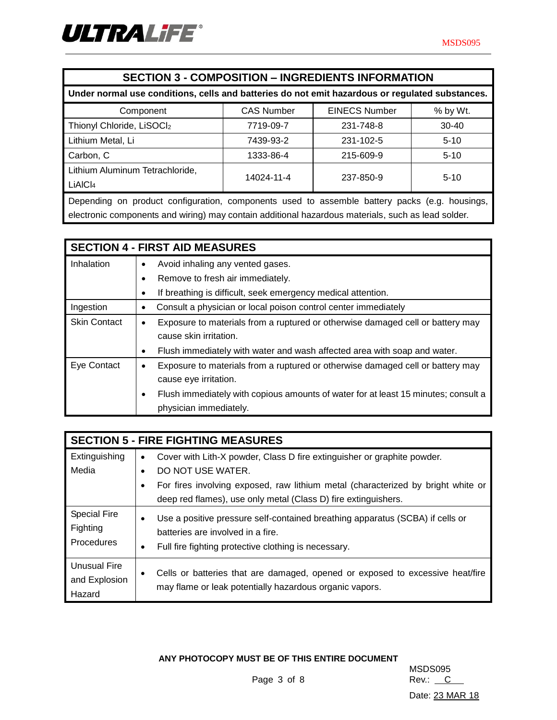

| <b>SECTION 3 - COMPOSITION - INGREDIENTS INFORMATION</b>                                           |           |           |           |  |  |  |
|----------------------------------------------------------------------------------------------------|-----------|-----------|-----------|--|--|--|
| Under normal use conditions, cells and batteries do not emit hazardous or regulated substances.    |           |           |           |  |  |  |
| <b>EINECS Number</b><br><b>CAS Number</b><br>% by Wt.<br>Component                                 |           |           |           |  |  |  |
| Thionyl Chloride, LiSOCl2                                                                          | 7719-09-7 | 231-748-8 | $30 - 40$ |  |  |  |
| Lithium Metal, Li                                                                                  | 7439-93-2 | 231-102-5 | $5-10$    |  |  |  |
| Carbon, C                                                                                          | 1333-86-4 | 215-609-9 | $5 - 10$  |  |  |  |
| Lithium Aluminum Tetrachloride,<br>14024-11-4<br>237-850-9                                         |           |           |           |  |  |  |
| LIAICI <sub>4</sub>                                                                                |           |           | $5 - 10$  |  |  |  |
| Depending on product configuration, components used to assemble battery packs (e.g. housings,      |           |           |           |  |  |  |
| electronic components and wiring) may contain additional hazardous materials, such as lead solder. |           |           |           |  |  |  |

| <b>SECTION 4 - FIRST AID MEASURES</b> |                                                                                         |  |  |  |  |  |
|---------------------------------------|-----------------------------------------------------------------------------------------|--|--|--|--|--|
| Inhalation                            | Avoid inhaling any vented gases.<br>$\bullet$                                           |  |  |  |  |  |
|                                       | Remove to fresh air immediately.                                                        |  |  |  |  |  |
|                                       | If breathing is difficult, seek emergency medical attention.                            |  |  |  |  |  |
| Ingestion                             | Consult a physician or local poison control center immediately<br>٠                     |  |  |  |  |  |
| <b>Skin Contact</b>                   | Exposure to materials from a ruptured or otherwise damaged cell or battery may<br>٠     |  |  |  |  |  |
|                                       | cause skin irritation.                                                                  |  |  |  |  |  |
|                                       | Flush immediately with water and wash affected area with soap and water.<br>٠           |  |  |  |  |  |
| Eye Contact                           | Exposure to materials from a ruptured or otherwise damaged cell or battery may<br>٠     |  |  |  |  |  |
|                                       | cause eye irritation.                                                                   |  |  |  |  |  |
|                                       | Flush immediately with copious amounts of water for at least 15 minutes; consult a<br>٠ |  |  |  |  |  |
|                                       | physician immediately.                                                                  |  |  |  |  |  |

| <b>SECTION 5 - FIRE FIGHTING MEASURES</b> |                                                                                                                                               |  |  |  |  |  |
|-------------------------------------------|-----------------------------------------------------------------------------------------------------------------------------------------------|--|--|--|--|--|
| Extinguishing                             | Cover with Lith-X powder, Class D fire extinguisher or graphite powder.<br>$\bullet$                                                          |  |  |  |  |  |
| Media                                     | DO NOT USE WATER.<br>$\bullet$                                                                                                                |  |  |  |  |  |
|                                           | For fires involving exposed, raw lithium metal (characterized by bright white or<br>٠                                                         |  |  |  |  |  |
|                                           | deep red flames), use only metal (Class D) fire extinguishers.                                                                                |  |  |  |  |  |
| <b>Special Fire</b>                       | Use a positive pressure self-contained breathing apparatus (SCBA) if cells or<br>$\bullet$                                                    |  |  |  |  |  |
| Fighting<br>Procedures                    | batteries are involved in a fire.                                                                                                             |  |  |  |  |  |
|                                           | Full fire fighting protective clothing is necessary.<br>$\bullet$                                                                             |  |  |  |  |  |
| <b>Unusual Fire</b>                       |                                                                                                                                               |  |  |  |  |  |
| and Explosion                             | Cells or batteries that are damaged, opened or exposed to excessive heat/fire<br>٠<br>may flame or leak potentially hazardous organic vapors. |  |  |  |  |  |
| Hazard                                    |                                                                                                                                               |  |  |  |  |  |

**ANY PHOTOCOPY MUST BE OF THIS ENTIRE DOCUMENT**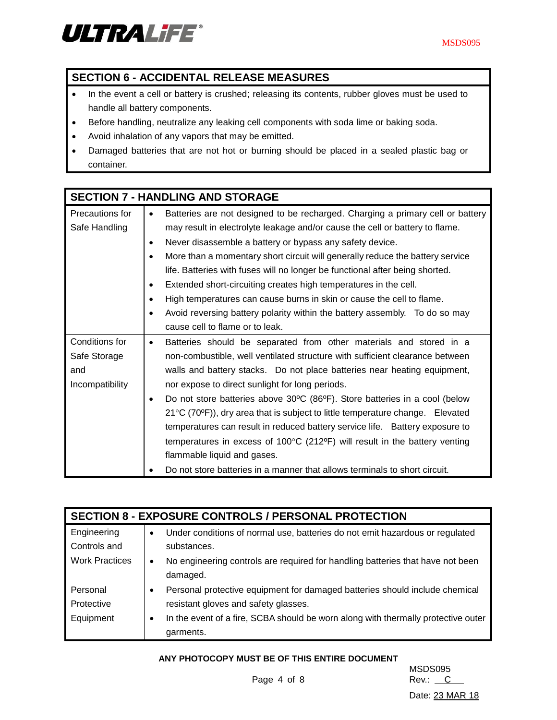

# **SECTION 6 - ACCIDENTAL RELEASE MEASURES**

- In the event a cell or battery is crushed; releasing its contents, rubber gloves must be used to handle all battery components.
- Before handling, neutralize any leaking cell components with soda lime or baking soda.
- Avoid inhalation of any vapors that may be emitted.
- Damaged batteries that are not hot or burning should be placed in a sealed plastic bag or container.

|                                                                                 | <b>SECTION 7 - HANDLING AND STORAGE</b>                                                              |  |  |  |
|---------------------------------------------------------------------------------|------------------------------------------------------------------------------------------------------|--|--|--|
| Precautions for                                                                 | Batteries are not designed to be recharged. Charging a primary cell or battery<br>$\bullet$          |  |  |  |
| Safe Handling                                                                   | may result in electrolyte leakage and/or cause the cell or battery to flame.                         |  |  |  |
|                                                                                 | Never disassemble a battery or bypass any safety device.<br>$\bullet$                                |  |  |  |
|                                                                                 | More than a momentary short circuit will generally reduce the battery service<br>$\bullet$           |  |  |  |
|                                                                                 | life. Batteries with fuses will no longer be functional after being shorted.                         |  |  |  |
|                                                                                 | Extended short-circuiting creates high temperatures in the cell.<br>$\bullet$                        |  |  |  |
|                                                                                 | High temperatures can cause burns in skin or cause the cell to flame.<br>٠                           |  |  |  |
|                                                                                 | Avoid reversing battery polarity within the battery assembly.  To do so may                          |  |  |  |
|                                                                                 | cause cell to flame or to leak.                                                                      |  |  |  |
| Conditions for                                                                  | Batteries should be separated from other materials and stored in a<br>$\bullet$                      |  |  |  |
| Safe Storage                                                                    | non-combustible, well ventilated structure with sufficient clearance between                         |  |  |  |
| walls and battery stacks. Do not place batteries near heating equipment,<br>and |                                                                                                      |  |  |  |
| Incompatibility                                                                 | nor expose to direct sunlight for long periods.                                                      |  |  |  |
|                                                                                 | Do not store batteries above 30°C (86°F). Store batteries in a cool (below<br>$\bullet$              |  |  |  |
|                                                                                 | $21^{\circ}$ C (70 <sup>o</sup> F)), dry area that is subject to little temperature change. Elevated |  |  |  |
|                                                                                 | temperatures can result in reduced battery service life.  Battery exposure to                        |  |  |  |
|                                                                                 | temperatures in excess of 100°C (212°F) will result in the battery venting                           |  |  |  |
|                                                                                 | flammable liquid and gases.                                                                          |  |  |  |
|                                                                                 | Do not store batteries in a manner that allows terminals to short circuit.                           |  |  |  |

| <b>SECTION 8 - EXPOSURE CONTROLS / PERSONAL PROTECTION</b> |                                                                                             |  |  |  |  |  |
|------------------------------------------------------------|---------------------------------------------------------------------------------------------|--|--|--|--|--|
| Engineering                                                | Under conditions of normal use, batteries do not emit hazardous or regulated<br>$\bullet$   |  |  |  |  |  |
| Controls and                                               | substances.                                                                                 |  |  |  |  |  |
| <b>Work Practices</b>                                      | No engineering controls are required for handling batteries that have not been<br>$\bullet$ |  |  |  |  |  |
|                                                            | damaged.                                                                                    |  |  |  |  |  |
| Personal                                                   | Personal protective equipment for damaged batteries should include chemical                 |  |  |  |  |  |
| Protective                                                 | resistant gloves and safety glasses.                                                        |  |  |  |  |  |
| Equipment                                                  | In the event of a fire, SCBA should be worn along with thermally protective outer<br>٠      |  |  |  |  |  |
|                                                            | garments.                                                                                   |  |  |  |  |  |

#### **ANY PHOTOCOPY MUST BE OF THIS ENTIRE DOCUMENT**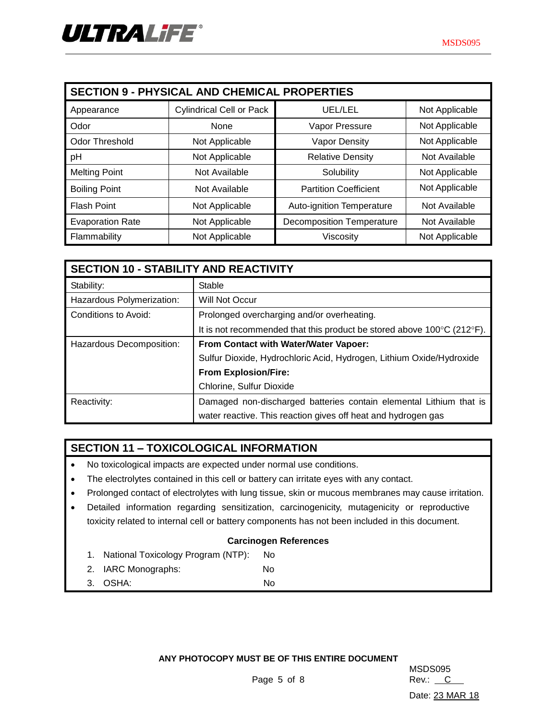| <b>SECTION 9 - PHYSICAL AND CHEMICAL PROPERTIES</b> |                                 |                                  |                |  |  |  |  |
|-----------------------------------------------------|---------------------------------|----------------------------------|----------------|--|--|--|--|
| Appearance                                          | <b>Cylindrical Cell or Pack</b> | UEL/LEL                          | Not Applicable |  |  |  |  |
| Odor                                                | None                            | Vapor Pressure                   | Not Applicable |  |  |  |  |
| Odor Threshold                                      | Not Applicable                  | <b>Vapor Density</b>             | Not Applicable |  |  |  |  |
| pH                                                  | Not Applicable                  | <b>Relative Density</b>          | Not Available  |  |  |  |  |
| <b>Melting Point</b>                                | Not Available                   | Solubility                       | Not Applicable |  |  |  |  |
| <b>Boiling Point</b>                                | Not Available                   | <b>Partition Coefficient</b>     | Not Applicable |  |  |  |  |
| <b>Flash Point</b>                                  | Not Applicable                  | Auto-ignition Temperature        | Not Available  |  |  |  |  |
| <b>Evaporation Rate</b>                             | Not Applicable                  | <b>Decomposition Temperature</b> | Not Available  |  |  |  |  |
| Flammability                                        | Not Applicable                  | Viscosity                        | Not Applicable |  |  |  |  |

| <b>SECTION 10 - STABILITY AND REACTIVITY</b> |                                                                        |  |  |
|----------------------------------------------|------------------------------------------------------------------------|--|--|
| Stability:                                   | Stable                                                                 |  |  |
| Hazardous Polymerization:                    | Will Not Occur                                                         |  |  |
| Conditions to Avoid:                         | Prolonged overcharging and/or overheating.                             |  |  |
|                                              | It is not recommended that this product be stored above 100°C (212°F). |  |  |
| Hazardous Decomposition:                     | From Contact with Water/Water Vapoer:                                  |  |  |
|                                              | Sulfur Dioxide, Hydrochloric Acid, Hydrogen, Lithium Oxide/Hydroxide   |  |  |
|                                              | <b>From Explosion/Fire:</b>                                            |  |  |
|                                              | Chlorine, Sulfur Dioxide                                               |  |  |
| Reactivity:                                  | Damaged non-discharged batteries contain elemental Lithium that is     |  |  |
|                                              | water reactive. This reaction gives off heat and hydrogen gas          |  |  |

## **SECTION 11 – TOXICOLOGICAL INFORMATION**

- No toxicological impacts are expected under normal use conditions.
- The electrolytes contained in this cell or battery can irritate eyes with any contact.
- Prolonged contact of electrolytes with lung tissue, skin or mucous membranes may cause irritation.
- Detailed information regarding sensitization, carcinogenicity, mutagenicity or reproductive toxicity related to internal cell or battery components has not been included in this document.

## **Carcinogen References**

- 1. National Toxicology Program (NTP): No
- 2. IARC Monographs: No
- 3. OSHA: No

**ANY PHOTOCOPY MUST BE OF THIS ENTIRE DOCUMENT**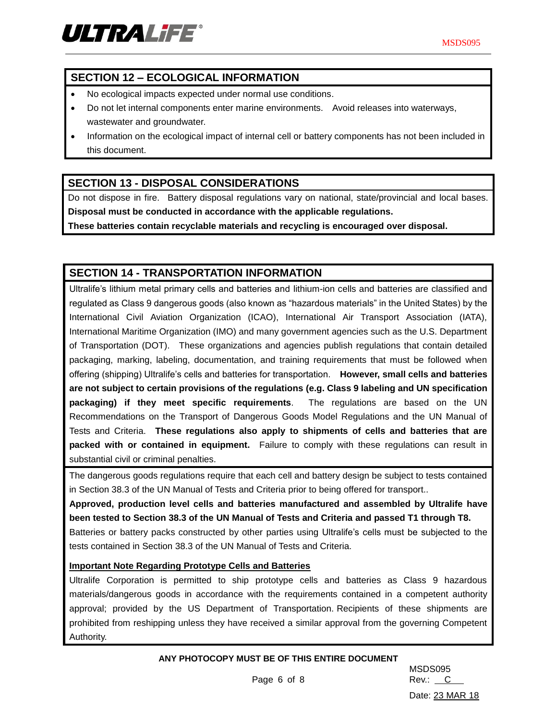

# **SECTION 12 – ECOLOGICAL INFORMATION**

- No ecological impacts expected under normal use conditions.
- Do not let internal components enter marine environments. Avoid releases into waterways, wastewater and groundwater.
- Information on the ecological impact of internal cell or battery components has not been included in this document.

## **SECTION 13 - DISPOSAL CONSIDERATIONS**

Do not dispose in fire. Battery disposal regulations vary on national, state/provincial and local bases. **Disposal must be conducted in accordance with the applicable regulations.**

**These batteries contain recyclable materials and recycling is encouraged over disposal.**

# **SECTION 14 - TRANSPORTATION INFORMATION**

Ultralife's lithium metal primary cells and batteries and lithium-ion cells and batteries are classified and regulated as Class 9 dangerous goods (also known as "hazardous materials" in the United States) by the International Civil Aviation Organization (ICAO), International Air Transport Association (IATA), International Maritime Organization (IMO) and many government agencies such as the U.S. Department of Transportation (DOT). These organizations and agencies publish regulations that contain detailed packaging, marking, labeling, documentation, and training requirements that must be followed when offering (shipping) Ultralife's cells and batteries for transportation. **However, small cells and batteries are not subject to certain provisions of the regulations (e.g. Class 9 labeling and UN specification packaging) if they meet specific requirements**. The regulations are based on the UN Recommendations on the Transport of Dangerous Goods Model Regulations and the UN Manual of Tests and Criteria. **These regulations also apply to shipments of cells and batteries that are packed with or contained in equipment.** Failure to comply with these regulations can result in substantial civil or criminal penalties.

The dangerous goods regulations require that each cell and battery design be subject to tests contained in Section 38.3 of the UN Manual of Tests and Criteria prior to being offered for transport..

**Approved, production level cells and batteries manufactured and assembled by Ultralife have been tested to Section 38.3 of the UN Manual of Tests and Criteria and passed T1 through T8.** Batteries or battery packs constructed by other parties using Ultralife's cells must be subjected to the tests contained in Section 38.3 of the UN Manual of Tests and Criteria.

## **Important Note Regarding Prototype Cells and Batteries**

Ultralife Corporation is permitted to ship prototype cells and batteries as Class 9 hazardous materials/dangerous goods in accordance with the requirements contained in a competent authority approval; provided by the US Department of Transportation. Recipients of these shipments are prohibited from reshipping unless they have received a similar approval from the governing Competent Authority.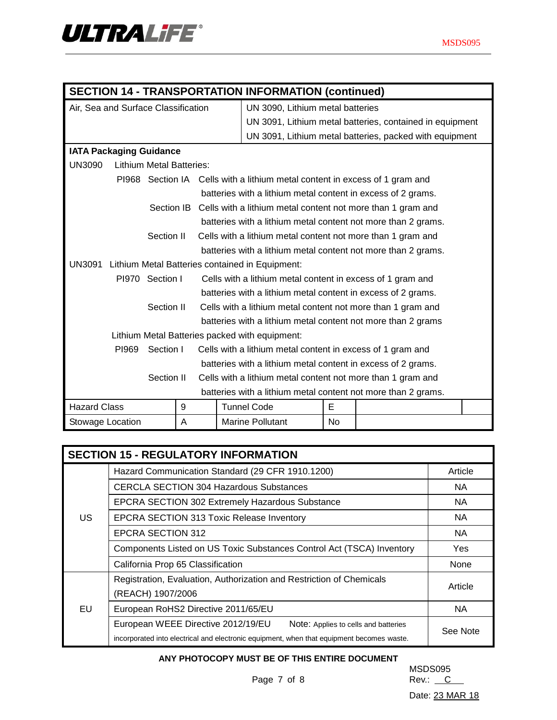| <b>SECTION 14 - TRANSPORTATION INFORMATION (continued)</b> |                                 |            |                                                              |    |                                                                             |   |                                                         |  |
|------------------------------------------------------------|---------------------------------|------------|--------------------------------------------------------------|----|-----------------------------------------------------------------------------|---|---------------------------------------------------------|--|
| Air, Sea and Surface Classification                        |                                 |            | UN 3090, Lithium metal batteries                             |    |                                                                             |   |                                                         |  |
|                                                            |                                 |            |                                                              |    | UN 3091, Lithium metal batteries, contained in equipment                    |   |                                                         |  |
|                                                            |                                 |            |                                                              |    |                                                                             |   | UN 3091, Lithium metal batteries, packed with equipment |  |
| <b>IATA Packaging Guidance</b>                             |                                 |            |                                                              |    |                                                                             |   |                                                         |  |
| <b>UN3090</b>                                              | <b>Lithium Metal Batteries:</b> |            |                                                              |    |                                                                             |   |                                                         |  |
|                                                            |                                 |            |                                                              |    | PI968 Section IA Cells with a lithium metal content in excess of 1 gram and |   |                                                         |  |
|                                                            |                                 |            |                                                              |    | batteries with a lithium metal content in excess of 2 grams.                |   |                                                         |  |
|                                                            |                                 |            |                                                              |    | Section IB Cells with a lithium metal content not more than 1 gram and      |   |                                                         |  |
|                                                            |                                 |            |                                                              |    | batteries with a lithium metal content not more than 2 grams.               |   |                                                         |  |
|                                                            |                                 | Section II |                                                              |    | Cells with a lithium metal content not more than 1 gram and                 |   |                                                         |  |
|                                                            |                                 |            |                                                              |    | batteries with a lithium metal content not more than 2 grams.               |   |                                                         |  |
| UN3091                                                     |                                 |            |                                                              |    | Lithium Metal Batteries contained in Equipment:                             |   |                                                         |  |
| PI970 Section I                                            |                                 |            | Cells with a lithium metal content in excess of 1 gram and   |    |                                                                             |   |                                                         |  |
|                                                            |                                 |            |                                                              |    | batteries with a lithium metal content in excess of 2 grams.                |   |                                                         |  |
| Section II                                                 |                                 |            | Cells with a lithium metal content not more than 1 gram and  |    |                                                                             |   |                                                         |  |
|                                                            |                                 |            |                                                              |    | batteries with a lithium metal content not more than 2 grams                |   |                                                         |  |
|                                                            |                                 |            |                                                              |    | Lithium Metal Batteries packed with equipment:                              |   |                                                         |  |
|                                                            | PI969                           | Section I  |                                                              |    | Cells with a lithium metal content in excess of 1 gram and                  |   |                                                         |  |
|                                                            |                                 |            | batteries with a lithium metal content in excess of 2 grams. |    |                                                                             |   |                                                         |  |
| Section II                                                 |                                 |            | Cells with a lithium metal content not more than 1 gram and  |    |                                                                             |   |                                                         |  |
|                                                            |                                 |            |                                                              |    | batteries with a lithium metal content not more than 2 grams.               |   |                                                         |  |
| <b>Hazard Class</b>                                        |                                 |            | 9                                                            |    | <b>Tunnel Code</b>                                                          | E |                                                         |  |
| Stowage Location<br>A                                      |                                 |            | <b>Marine Pollutant</b>                                      | No |                                                                             |   |                                                         |  |

| <b>SECTION 15 - REGULATORY INFORMATION</b> |                                                                                           |            |  |  |  |
|--------------------------------------------|-------------------------------------------------------------------------------------------|------------|--|--|--|
|                                            | Hazard Communication Standard (29 CFR 1910.1200)                                          | Article    |  |  |  |
|                                            | <b>CERCLA SECTION 304 Hazardous Substances</b>                                            | NA.        |  |  |  |
|                                            | <b>EPCRA SECTION 302 Extremely Hazardous Substance</b>                                    | NA.        |  |  |  |
| US                                         | EPCRA SECTION 313 Toxic Release Inventory                                                 | <b>NA</b>  |  |  |  |
|                                            | EPCRA SECTION 312                                                                         | NA.        |  |  |  |
|                                            | Components Listed on US Toxic Substances Control Act (TSCA) Inventory                     | <b>Yes</b> |  |  |  |
|                                            | California Prop 65 Classification                                                         | None       |  |  |  |
|                                            | Registration, Evaluation, Authorization and Restriction of Chemicals                      | Article    |  |  |  |
| EU                                         | (REACH) 1907/2006                                                                         |            |  |  |  |
|                                            | European RoHS2 Directive 2011/65/EU                                                       | NA.        |  |  |  |
|                                            | European WEEE Directive 2012/19/EU<br>Note: Applies to cells and batteries                | See Note   |  |  |  |
|                                            | incorporated into electrical and electronic equipment, when that equipment becomes waste. |            |  |  |  |

## **ANY PHOTOCOPY MUST BE OF THIS ENTIRE DOCUMENT**

MSDS095 Page 7 of 8 Rev.: C

Date: 23 MAR 18